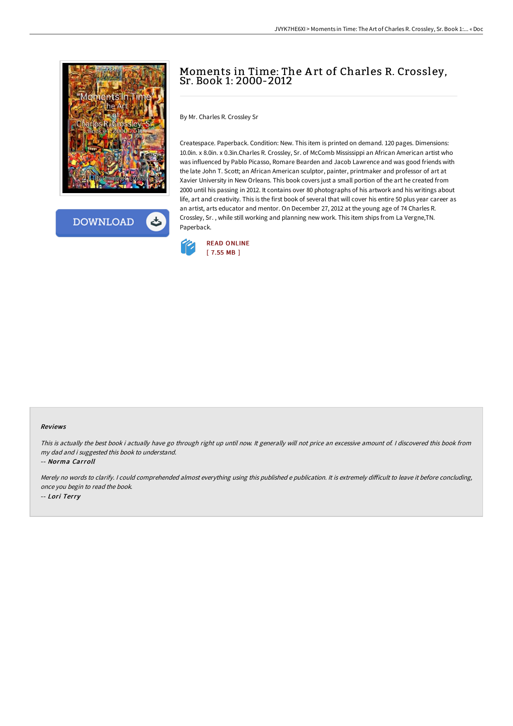

**DOWNLOAD** ٹ

# Moments in Time: The A rt of Charles R. Crossley, Sr. Book 1: 2000-2012

By Mr. Charles R. Crossley Sr

Createspace. Paperback. Condition: New. This item is printed on demand. 120 pages. Dimensions: 10.0in. x 8.0in. x 0.3in.Charles R. Crossley, Sr. of McComb Mississippi an African American artist who was influenced by Pablo Picasso, Romare Bearden and Jacob Lawrence and was good friends with the late John T. Scott; an African American sculptor, painter, printmaker and professor of art at Xavier University in New Orleans. This book covers just a small portion of the art he created from 2000 until his passing in 2012. It contains over 80 photographs of his artwork and his writings about life, art and creativity. This is the first book of several that will cover his entire 50 plus year career as an artist, arts educator and mentor. On December 27, 2012 at the young age of 74 Charles R. Crossley, Sr. , while still working and planning new work. This item ships from La Vergne,TN. Paperback.



#### Reviews

This is actually the best book i actually have go through right up until now. It generally will not price an excessive amount of. <sup>I</sup> discovered this book from my dad and i suggested this book to understand.

-- Norma Carroll

Merely no words to clarify. I could comprehended almost everything using this published e publication. It is extremely difficult to leave it before concluding, once you begin to read the book. -- Lori Terry